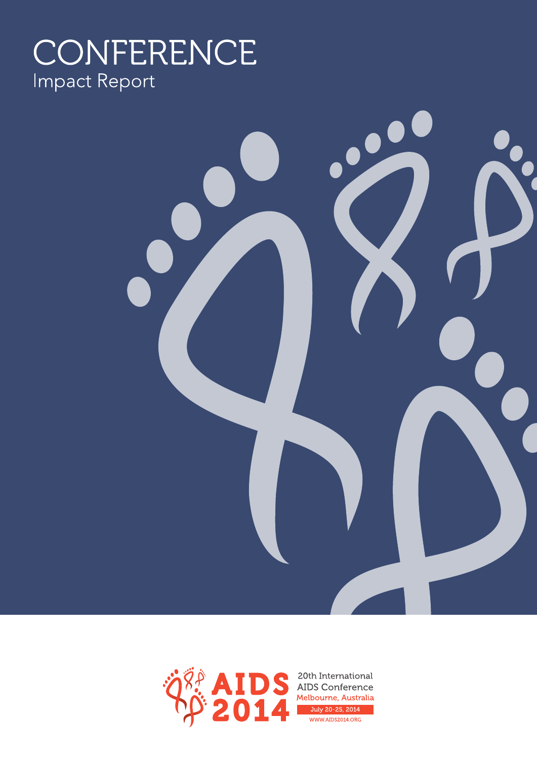# CONFERENCE **Impact Report**



 $\overline{\phantom{0}}$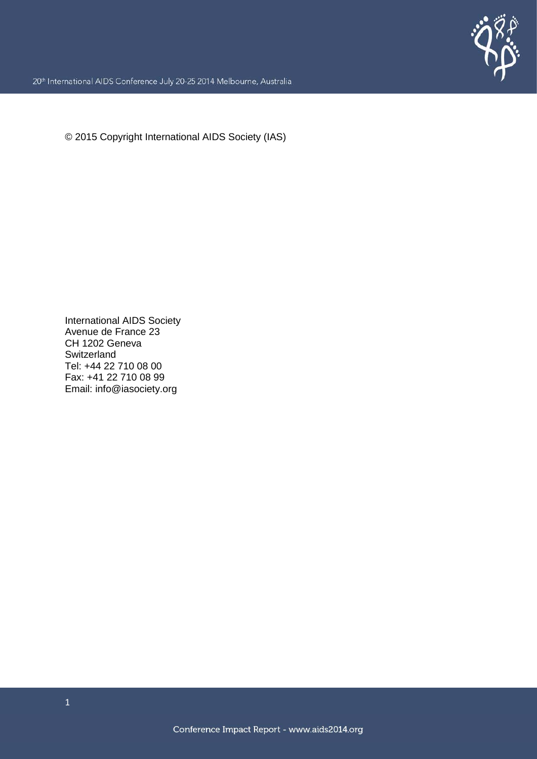

20<sup>th</sup> International AIDS Conference July 20-25 2014 Melbourne, Australia

© 2015 Copyright International AIDS Society (IAS)

International AIDS Society Avenue de France 23 CH 1202 Geneva **Switzerland** Tel: +44 22 710 08 00 Fax: +41 22 710 08 99 Email: info@iasociety.org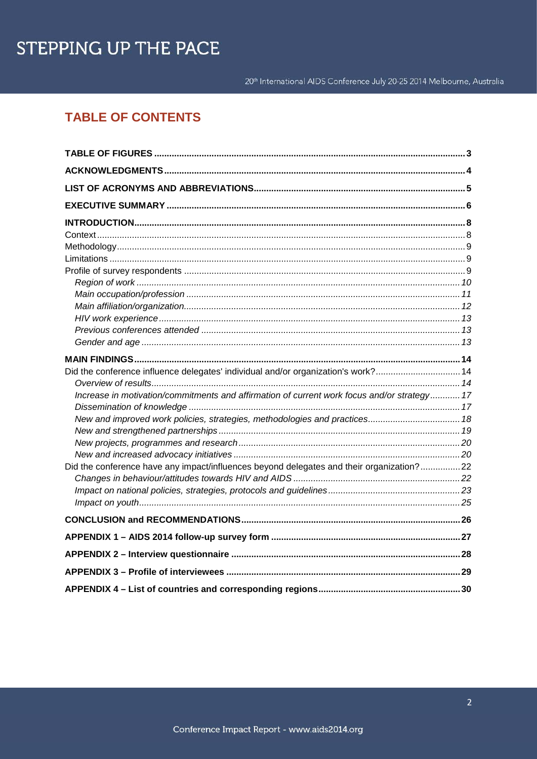20<sup>th</sup> International AIDS Conference July 20-25 2014 Melbourne, Australia

# **TABLE OF CONTENTS**

| Did the conference influence delegates' individual and/or organization's work?14            |  |
|---------------------------------------------------------------------------------------------|--|
|                                                                                             |  |
| Increase in motivation/commitments and affirmation of current work focus and/or strategy 17 |  |
|                                                                                             |  |
| New and improved work policies, strategies, methodologies and practices 18                  |  |
|                                                                                             |  |
|                                                                                             |  |
|                                                                                             |  |
| Did the conference have any impact/influences beyond delegates and their organization?22    |  |
|                                                                                             |  |
|                                                                                             |  |
|                                                                                             |  |
|                                                                                             |  |
|                                                                                             |  |
|                                                                                             |  |
|                                                                                             |  |
|                                                                                             |  |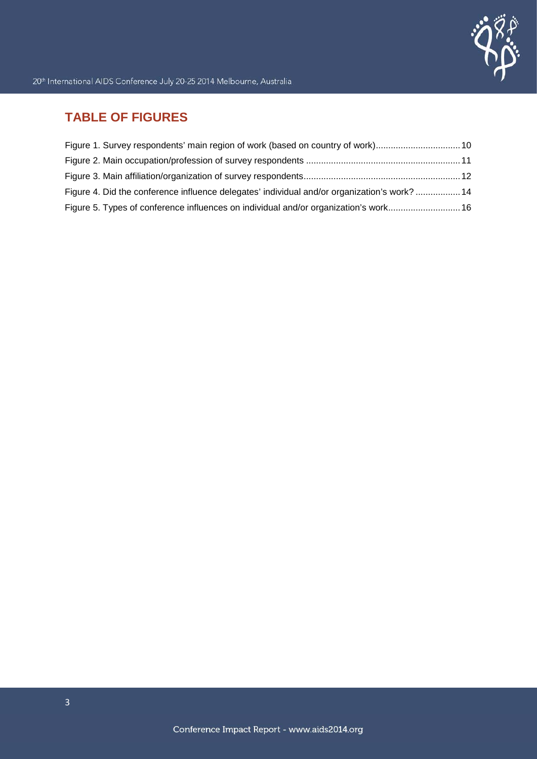

# **TABLE OF FIGURES**

| Figure 1. Survey respondents' main region of work (based on country of work) 10              |  |
|----------------------------------------------------------------------------------------------|--|
|                                                                                              |  |
|                                                                                              |  |
| Figure 4. Did the conference influence delegates' individual and/or organization's work?  14 |  |
| Figure 5. Types of conference influences on individual and/or organization's work 16         |  |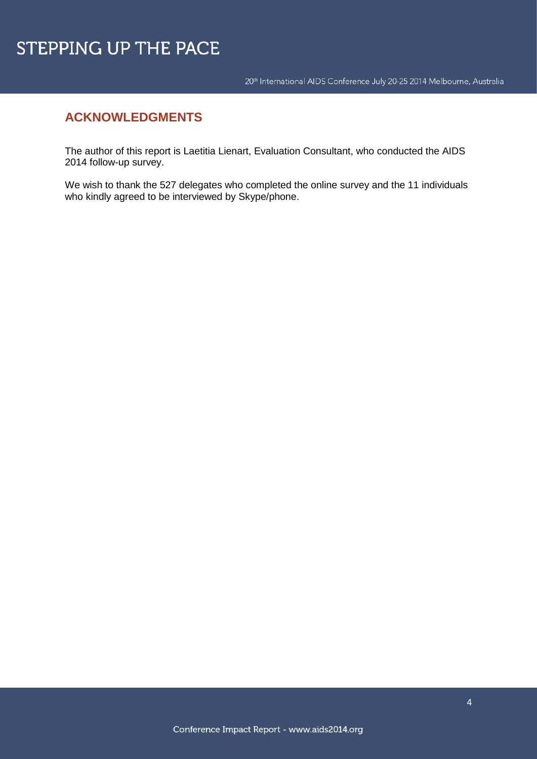20<sup>th</sup> International AIDS Conference July 20-25 2014 Melbourne, Australia

# **ACKNOWLEDGMENTS**

The author of this report is Laetitia Lienart, Evaluation Consultant, who conducted the AIDS 2014 follow-up survey.

We wish to thank the 527 delegates who completed the online survey and the 11 individuals who kindly agreed to be interviewed by Skype/phone.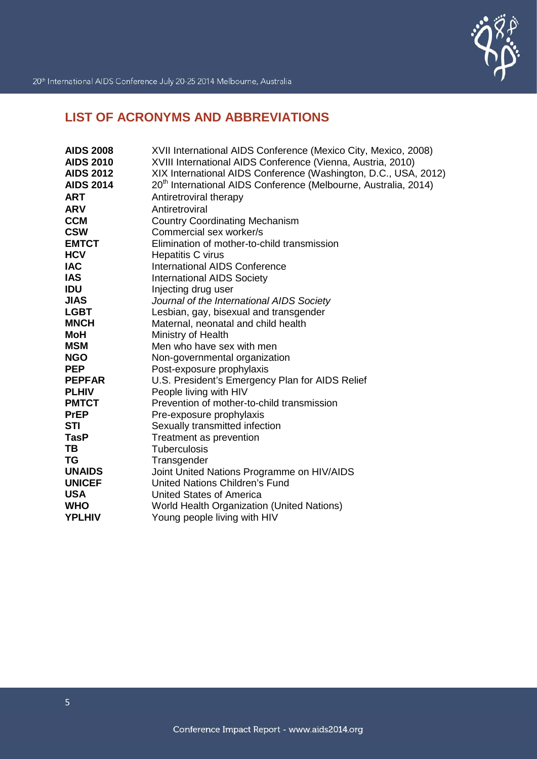

# **LIST OF ACRONYMS AND ABBREVIATIONS**

| <b>AIDS 2008</b> | XVII International AIDS Conference (Mexico City, Mexico, 2008)              |
|------------------|-----------------------------------------------------------------------------|
| <b>AIDS 2010</b> | XVIII International AIDS Conference (Vienna, Austria, 2010)                 |
| <b>AIDS 2012</b> | XIX International AIDS Conference (Washington, D.C., USA, 2012)             |
| <b>AIDS 2014</b> | 20 <sup>th</sup> International AIDS Conference (Melbourne, Australia, 2014) |
| <b>ART</b>       | Antiretroviral therapy                                                      |
| <b>ARV</b>       | Antiretroviral                                                              |
| <b>CCM</b>       | <b>Country Coordinating Mechanism</b>                                       |
| <b>CSW</b>       | Commercial sex worker/s                                                     |
| <b>EMTCT</b>     | Elimination of mother-to-child transmission                                 |
| <b>HCV</b>       | Hepatitis C virus                                                           |
| <b>IAC</b>       | International AIDS Conference                                               |
| <b>IAS</b>       | <b>International AIDS Society</b>                                           |
| <b>IDU</b>       | Injecting drug user                                                         |
| <b>JIAS</b>      | Journal of the International AIDS Society                                   |
| <b>LGBT</b>      | Lesbian, gay, bisexual and transgender                                      |
| <b>MNCH</b>      | Maternal, neonatal and child health                                         |
| <b>MoH</b>       | Ministry of Health                                                          |
| <b>MSM</b>       | Men who have sex with men                                                   |
| <b>NGO</b>       | Non-governmental organization                                               |
| <b>PEP</b>       | Post-exposure prophylaxis                                                   |
| <b>PEPFAR</b>    | U.S. President's Emergency Plan for AIDS Relief                             |
| <b>PLHIV</b>     | People living with HIV                                                      |
| <b>PMTCT</b>     | Prevention of mother-to-child transmission                                  |
| <b>PrEP</b>      | Pre-exposure prophylaxis                                                    |
| STI              | Sexually transmitted infection                                              |
| <b>TasP</b>      | Treatment as prevention                                                     |
| TB               | Tuberculosis                                                                |
| <b>TG</b>        | Transgender                                                                 |
| <b>UNAIDS</b>    | Joint United Nations Programme on HIV/AIDS                                  |
| <b>UNICEF</b>    | <b>United Nations Children's Fund</b>                                       |
| <b>USA</b>       | <b>United States of America</b>                                             |
| <b>WHO</b>       | World Health Organization (United Nations)                                  |
| <b>YPLHIV</b>    | Young people living with HIV                                                |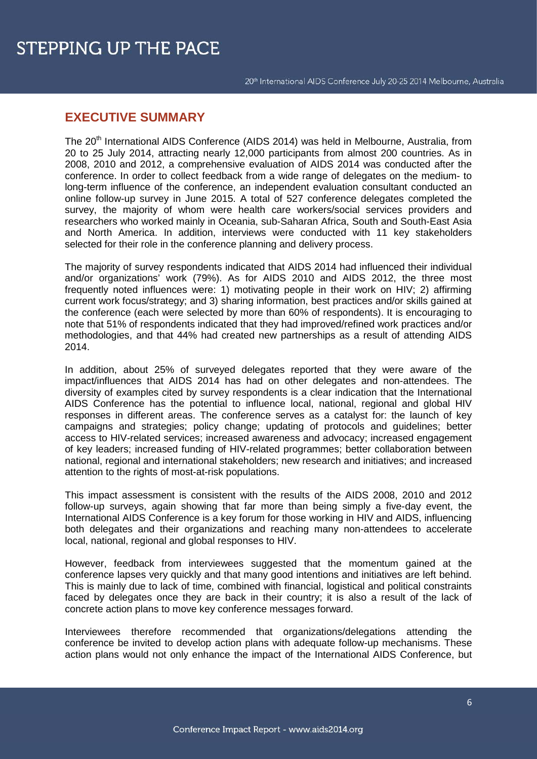# **EXECUTIVE SUMMARY**

The 20th International AIDS Conference (AIDS 2014) was held in Melbourne, Australia, from 20 to 25 July 2014, attracting nearly 12,000 participants from almost 200 countries. As in 2008, 2010 and 2012, a comprehensive evaluation of AIDS 2014 was conducted after the conference. In order to collect feedback from a wide range of delegates on the medium- to long-term influence of the conference, an independent evaluation consultant conducted an online follow-up survey in June 2015. A total of 527 conference delegates completed the survey, the majority of whom were health care workers/social services providers and researchers who worked mainly in Oceania, sub-Saharan Africa, South and South-East Asia and North America. In addition, interviews were conducted with 11 key stakeholders selected for their role in the conference planning and delivery process.

The majority of survey respondents indicated that AIDS 2014 had influenced their individual and/or organizations' work (79%). As for AIDS 2010 and AIDS 2012, the three most frequently noted influences were: 1) motivating people in their work on HIV; 2) affirming current work focus/strategy; and 3) sharing information, best practices and/or skills gained at the conference (each were selected by more than 60% of respondents). It is encouraging to note that 51% of respondents indicated that they had improved/refined work practices and/or methodologies, and that 44% had created new partnerships as a result of attending AIDS 2014.

In addition, about 25% of surveyed delegates reported that they were aware of the impact/influences that AIDS 2014 has had on other delegates and non-attendees. The diversity of examples cited by survey respondents is a clear indication that the International AIDS Conference has the potential to influence local, national, regional and global HIV responses in different areas. The conference serves as a catalyst for: the launch of key campaigns and strategies; policy change; updating of protocols and guidelines; better access to HIV-related services; increased awareness and advocacy; increased engagement of key leaders; increased funding of HIV-related programmes; better collaboration between national, regional and international stakeholders; new research and initiatives; and increased attention to the rights of most-at-risk populations.

This impact assessment is consistent with the results of the AIDS 2008, 2010 and 2012 follow-up surveys, again showing that far more than being simply a five-day event, the International AIDS Conference is a key forum for those working in HIV and AIDS, influencing both delegates and their organizations and reaching many non-attendees to accelerate local, national, regional and global responses to HIV.

However, feedback from interviewees suggested that the momentum gained at the conference lapses very quickly and that many good intentions and initiatives are left behind. This is mainly due to lack of time, combined with financial, logistical and political constraints faced by delegates once they are back in their country; it is also a result of the lack of concrete action plans to move key conference messages forward.

Interviewees therefore recommended that organizations/delegations attending the conference be invited to develop action plans with adequate follow-up mechanisms. These action plans would not only enhance the impact of the International AIDS Conference, but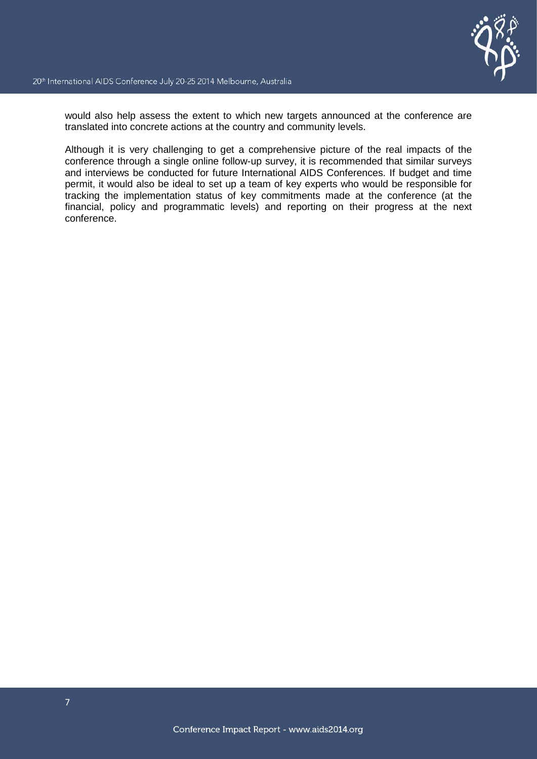

would also help assess the extent to which new targets announced at the conference are translated into concrete actions at the country and community levels.

Although it is very challenging to get a comprehensive picture of the real impacts of the conference through a single online follow-up survey, it is recommended that similar surveys and interviews be conducted for future International AIDS Conferences. If budget and time permit, it would also be ideal to set up a team of key experts who would be responsible for tracking the implementation status of key commitments made at the conference (at the financial, policy and programmatic levels) and reporting on their progress at the next conference.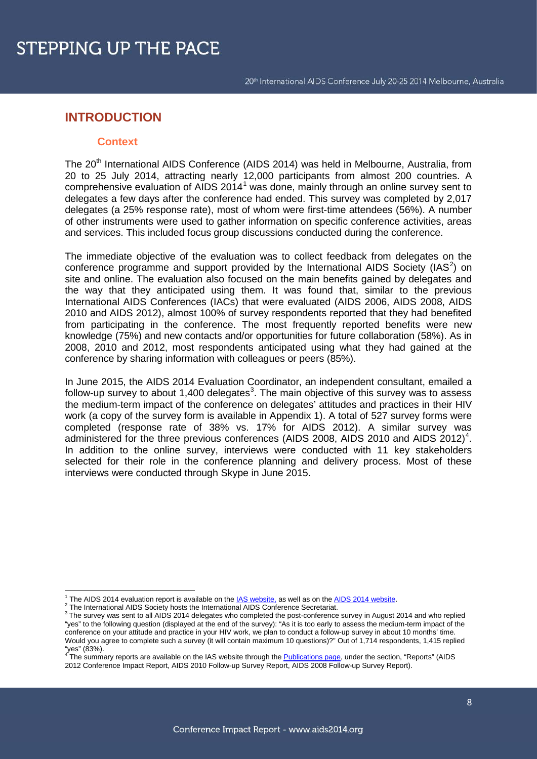# **INTRODUCTION**

#### **Context**

The 20<sup>th</sup> International AIDS Conference (AIDS 2014) was held in Melbourne, Australia, from 20 to 25 July 2014, attracting nearly 12,000 participants from almost 200 countries. A comprehensive evaluation of AIDS 2014[1](#page-8-0) was done, mainly through an online survey sent to delegates a few days after the conference had ended. This survey was completed by 2,017 delegates (a 25% response rate), most of whom were first-time attendees (56%). A number of other instruments were used to gather information on specific conference activities, areas and services. This included focus group discussions conducted during the conference.

The immediate objective of the evaluation was to collect feedback from delegates on the conference programme and support provided by the International AIDS Society (IAS<sup>[2](#page-8-1)</sup>) on site and online. The evaluation also focused on the main benefits gained by delegates and the way that they anticipated using them. It was found that, similar to the previous International AIDS Conferences (IACs) that were evaluated (AIDS 2006, AIDS 2008, AIDS 2010 and AIDS 2012), almost 100% of survey respondents reported that they had benefited from participating in the conference. The most frequently reported benefits were new knowledge (75%) and new contacts and/or opportunities for future collaboration (58%). As in 2008, 2010 and 2012, most respondents anticipated using what they had gained at the conference by sharing information with colleagues or peers (85%).

In June 2015, the AIDS 2014 Evaluation Coordinator, an independent consultant, emailed a follow-up survey to about 1,400 delegates<sup>[3](#page-8-2)</sup>. The main objective of this survey was to assess the medium-term impact of the conference on delegates' attitudes and practices in their HIV work (a copy of the survey form is available in Appendix 1). A total of 527 survey forms were completed (response rate of 38% vs. 17% for AIDS 2012). A similar survey was administered for the three previous conferences (AIDS 2008, AIDS 2010 and AIDS 2012)<sup>[4](#page-8-3)</sup>. In addition to the online survey, interviews were conducted with 11 key stakeholders selected for their role in the conference planning and delivery process. Most of these interviews were conducted through Skype in June 2015.

**.** 

<span id="page-8-2"></span>

<span id="page-8-1"></span><span id="page-8-0"></span><sup>&</sup>lt;sup>1</sup> The AIDS 2014 evaluation report is available on the  $\frac{\text{IAS website}}{\text{Abs} }$  as well as on the  $\frac{\text{AIDS}}{\text{SIO14}}$  website.<br>
<sup>2</sup> The International AIDS Society hosts the International AIDS Conference Secretariat.<br>
<sup>3</sup> The surv "yes" to the following question (displayed at the end of the survey): "As it is too early to assess the medium-term impact of the conference on your attitude and practice in your HIV work, we plan to conduct a follow-up survey in about 10 months' time. Would you agree to complete such a survey (it will contain maximum 10 questions)?" Out of 1,714 respondents, 1,415 replied

<span id="page-8-3"></span><sup>&</sup>quot;yes" (83%).  $\frac{4}{10}$  (83%).  $\frac{4}{10}$  reports are available on the IAS website through th[e Publications page,](http://www.iasociety.org/Press-center/Publications) under the section, "Reports" (AIDS 2012 Conference Impact Report, AIDS 2010 Follow-up Survey Report, AIDS 2008 Follow-up Survey Report).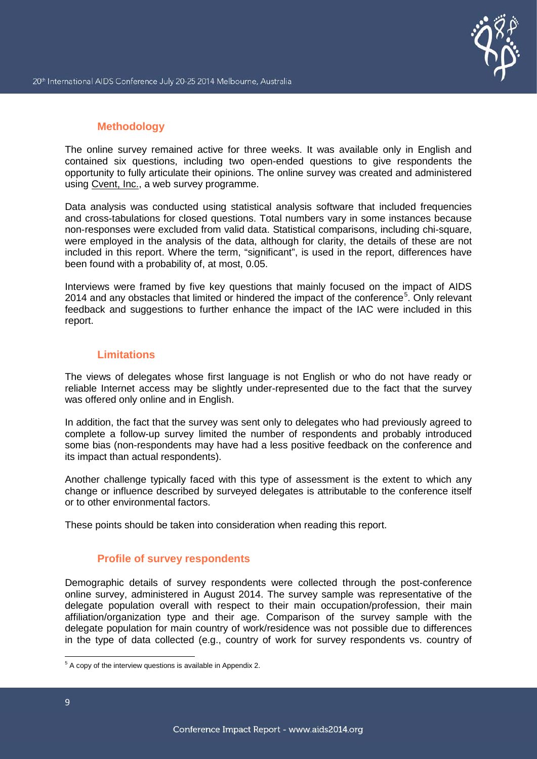## **Methodology**

The online survey remained active for three weeks. It was available only in English and contained six questions, including two open-ended questions to give respondents the opportunity to fully articulate their opinions. The online survey was created and administered using [Cvent, Inc.,](http://www.cvent.com/) a web survey programme.

Data analysis was conducted using statistical analysis software that included frequencies and cross-tabulations for closed questions. Total numbers vary in some instances because non-responses were excluded from valid data. Statistical comparisons, including chi-square, were employed in the analysis of the data, although for clarity, the details of these are not included in this report. Where the term, "significant", is used in the report, differences have been found with a probability of, at most, 0.05.

Interviews were framed by five key questions that mainly focused on the impact of AIDS 2014 and any obstacles that limited or hindered the impact of the conference<sup>[5](#page-9-0)</sup>. Only relevant feedback and suggestions to further enhance the impact of the IAC were included in this report.

## **Limitations**

The views of delegates whose first language is not English or who do not have ready or reliable Internet access may be slightly under-represented due to the fact that the survey was offered only online and in English.

In addition, the fact that the survey was sent only to delegates who had previously agreed to complete a follow-up survey limited the number of respondents and probably introduced some bias (non-respondents may have had a less positive feedback on the conference and its impact than actual respondents).

Another challenge typically faced with this type of assessment is the extent to which any change or influence described by surveyed delegates is attributable to the conference itself or to other environmental factors.

These points should be taken into consideration when reading this report.

### **Profile of survey respondents**

Demographic details of survey respondents were collected through the post-conference online survey, administered in August 2014. The survey sample was representative of the delegate population overall with respect to their main occupation/profession, their main affiliation/organization type and their age. Comparison of the survey sample with the delegate population for main country of work/residence was not possible due to differences in the type of data collected (e.g., country of work for survey respondents vs. country of

<span id="page-9-0"></span> $\overline{\phantom{a}}$  $5$  A copy of the interview questions is available in Appendix 2.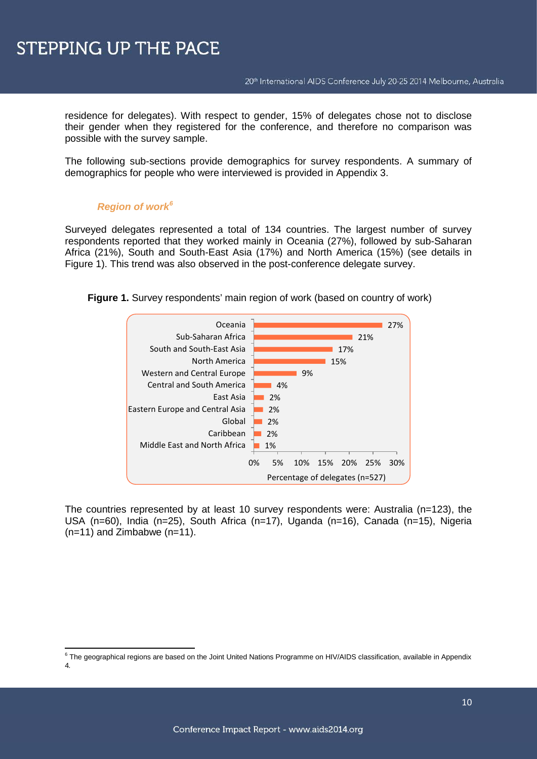residence for delegates). With respect to gender, 15% of delegates chose not to disclose their gender when they registered for the conference, and therefore no comparison was possible with the survey sample.

The following sub-sections provide demographics for survey respondents. A summary of demographics for people who were interviewed is provided in Appendix 3.

## *Region of work[6](#page-10-0)*

Surveyed delegates represented a total of 134 countries. The largest number of survey respondents reported that they worked mainly in Oceania (27%), followed by sub-Saharan Africa (21%), South and South-East Asia (17%) and North America (15%) (see details in Figure 1). This trend was also observed in the post-conference delegate survey.



**Figure 1.** Survey respondents' main region of work (based on country of work)

The countries represented by at least 10 survey respondents were: Australia (n=123), the USA (n=60), India (n=25), South Africa (n=17), Uganda (n=16), Canada (n=15), Nigeria (n=11) and Zimbabwe (n=11).

<span id="page-10-0"></span>**<sup>.</sup>**  $^6$  The geographical regions are based on the Joint United Nations Programme on HIV/AIDS classification, available in Appendix 4*.*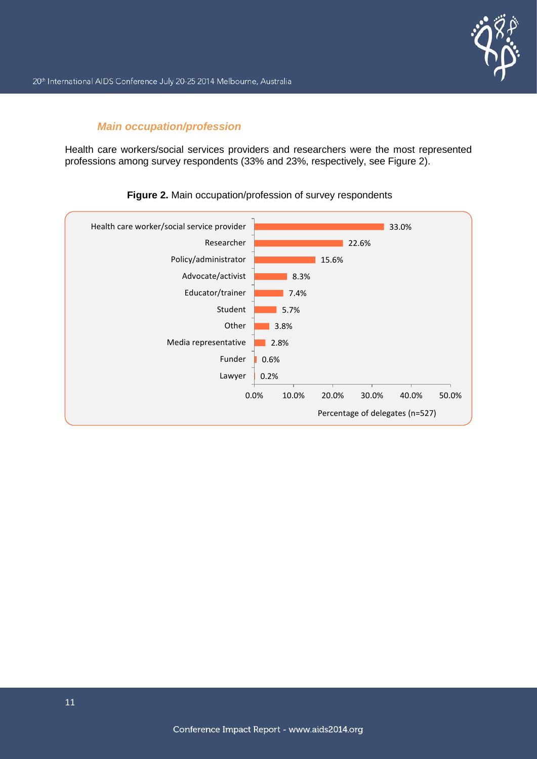

## *Main occupation/profession*

Health care workers/social services providers and researchers were the most represented professions among survey respondents (33% and 23%, respectively, see Figure 2).



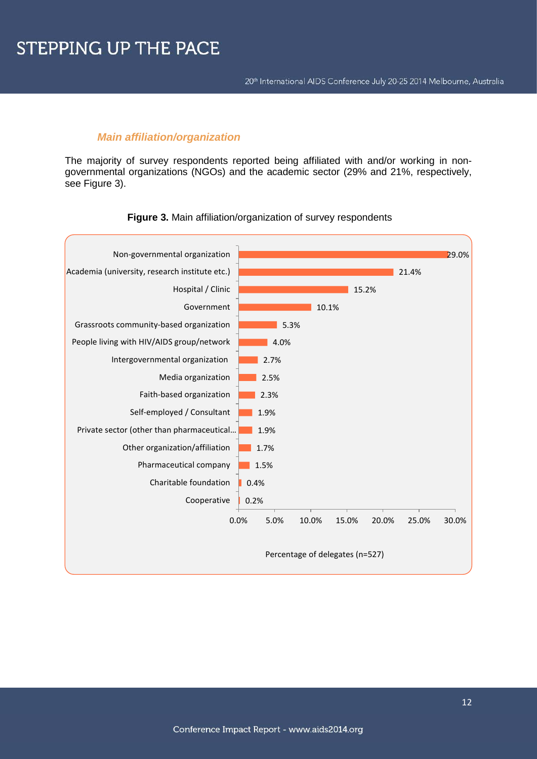### *Main affiliation/organization*

The majority of survey respondents reported being affiliated with and/or working in nongovernmental organizations (NGOs) and the academic sector (29% and 21%, respectively, see Figure 3).



#### **Figure 3.** Main affiliation/organization of survey respondents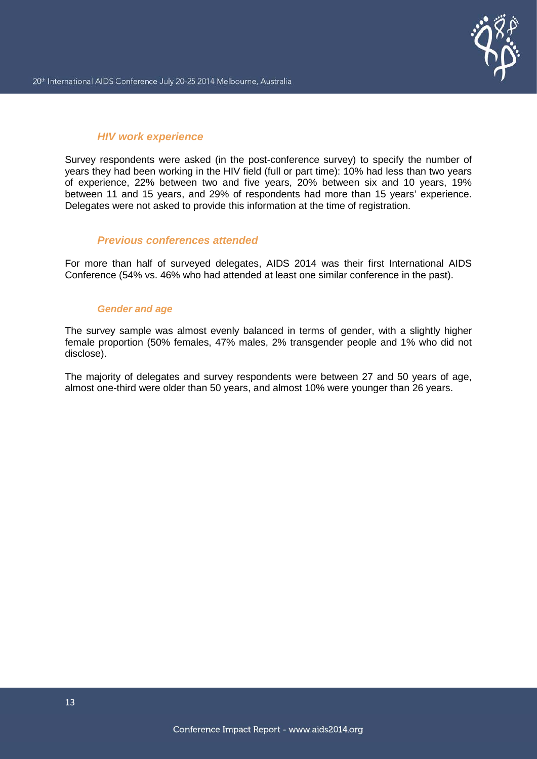## *HIV work experience*

Survey respondents were asked (in the post-conference survey) to specify the number of years they had been working in the HIV field (full or part time): 10% had less than two years of experience, 22% between two and five years, 20% between six and 10 years, 19% between 11 and 15 years, and 29% of respondents had more than 15 years' experience. Delegates were not asked to provide this information at the time of registration.

## *Previous conferences attended*

For more than half of surveyed delegates, AIDS 2014 was their first International AIDS Conference (54% vs. 46% who had attended at least one similar conference in the past).

### *Gender and age*

The survey sample was almost evenly balanced in terms of gender, with a slightly higher female proportion (50% females, 47% males, 2% transgender people and 1% who did not disclose).

The majority of delegates and survey respondents were between 27 and 50 years of age, almost one-third were older than 50 years, and almost 10% were younger than 26 years.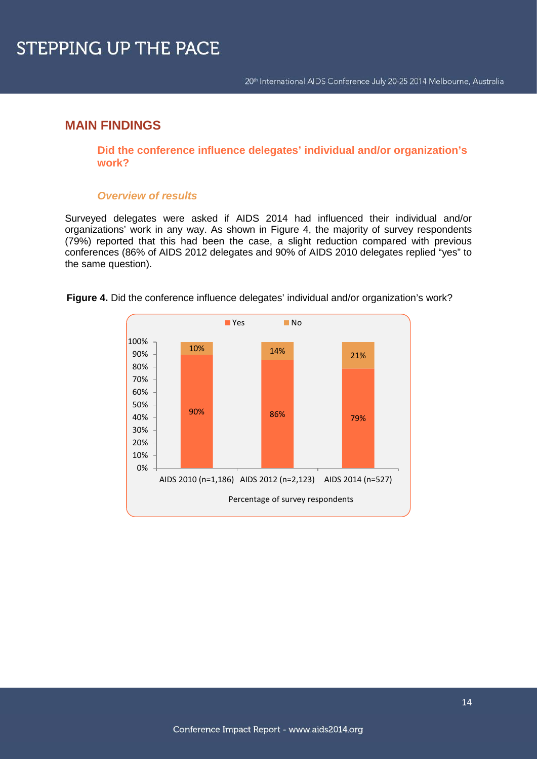# **MAIN FINDINGS**

**Did the conference influence delegates' individual and/or organization's work?**

## *Overview of results*

Surveyed delegates were asked if AIDS 2014 had influenced their individual and/or organizations' work in any way. As shown in Figure 4, the majority of survey respondents (79%) reported that this had been the case, a slight reduction compared with previous conferences (86% of AIDS 2012 delegates and 90% of AIDS 2010 delegates replied "yes" to the same question).



**Figure 4.** Did the conference influence delegates' individual and/or organization's work?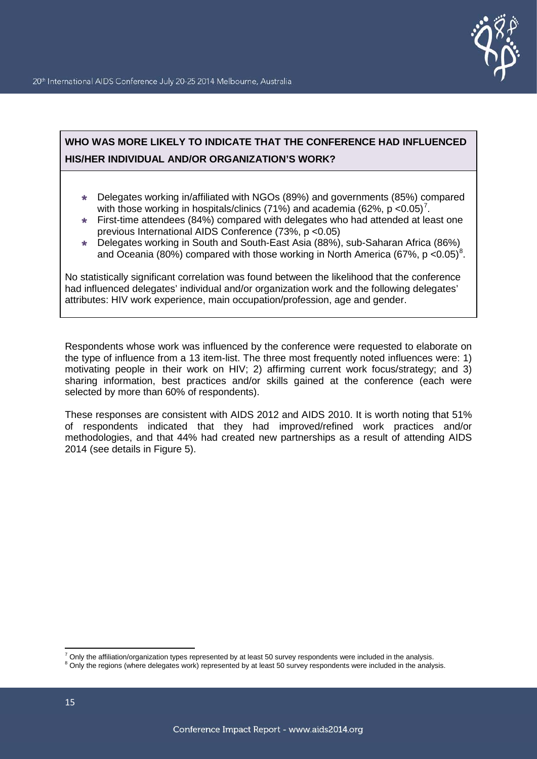

# **WHO WAS MORE LIKELY TO INDICATE THAT THE CONFERENCE HAD INFLUENCED HIS/HER INDIVIDUAL AND/OR ORGANIZATION'S WORK?**

- Delegates working in/affiliated with NGOs (89%) and governments (85%) compared with those working in hospitals/clinics ([7](#page-15-0)1%) and academia (62%, p < 0.05)<sup>7</sup>.
- First-time attendees (84%) compared with delegates who had attended at least one previous International AIDS Conference (73%, p <0.05)
- Delegates working in South and South-East Asia (88%), sub-Saharan Africa (86%) and Oceania ([8](#page-15-1)0%) compared with those working in North America (67%, p < 0.05)<sup>8</sup>.

No statistically significant correlation was found between the likelihood that the conference had influenced delegates' individual and/or organization work and the following delegates' attributes: HIV work experience, main occupation/profession, age and gender.

Respondents whose work was influenced by the conference were requested to elaborate on the type of influence from a 13 item-list. The three most frequently noted influences were: 1) motivating people in their work on HIV; 2) affirming current work focus/strategy; and 3) sharing information, best practices and/or skills gained at the conference (each were selected by more than 60% of respondents).

These responses are consistent with AIDS 2012 and AIDS 2010. It is worth noting that 51% of respondents indicated that they had improved/refined work practices and/or methodologies, and that 44% had created new partnerships as a result of attending AIDS 2014 (see details in Figure 5).

 $^7$  Only the affiliation/organization types represented by at least 50 survey respondents were included in the analysis.

<span id="page-15-1"></span><span id="page-15-0"></span><sup>&</sup>lt;sup>8</sup> Only the regions (where delegates work) represented by at least 50 survey respondents were included in the analysis.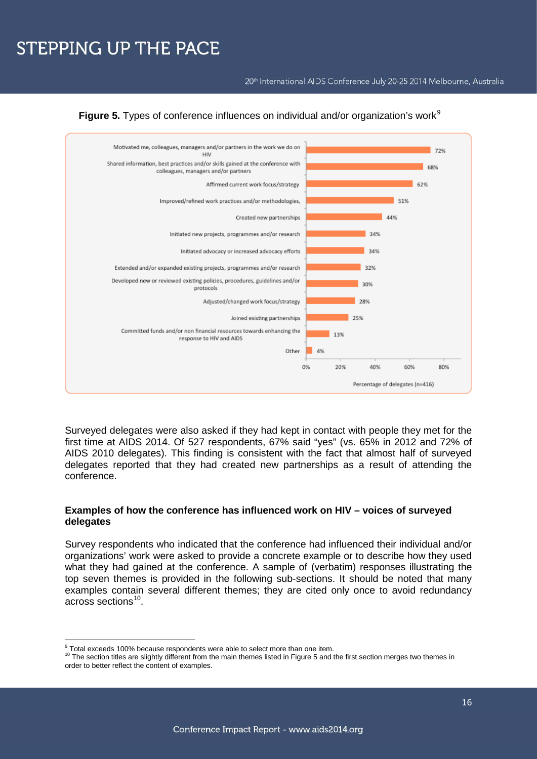20<sup>th</sup> International AIDS Conference July 20-25 2014 Melbourne, Australia



**Figure 5.** Types of conference influences on individual and/or organization's work<sup>[9](#page-16-0)</sup>

Surveyed delegates were also asked if they had kept in contact with people they met for the first time at AIDS 2014. Of 527 respondents, 67% said "yes" (vs. 65% in 2012 and 72% of AIDS 2010 delegates). This finding is consistent with the fact that almost half of surveyed delegates reported that they had created new partnerships as a result of attending the conference.

### **Examples of how the conference has influenced work on HIV – voices of surveyed delegates**

Survey respondents who indicated that the conference had influenced their individual and/or organizations' work were asked to provide a concrete example or to describe how they used what they had gained at the conference. A sample of (verbatim) responses illustrating the top seven themes is provided in the following sub-sections. It should be noted that many examples contain several different themes; they are cited only once to avoid redundancy across sections[10](#page-16-1).

 $\overline{\phantom{a}}$  $\frac{9}{5}$  Total exceeds 100% because respondents were able to select more than one item.

<span id="page-16-1"></span><span id="page-16-0"></span><sup>&</sup>lt;sup>10</sup> The section titles are slightly different from the main themes listed in Figure 5 and the first section merges two themes in order to better reflect the content of examples.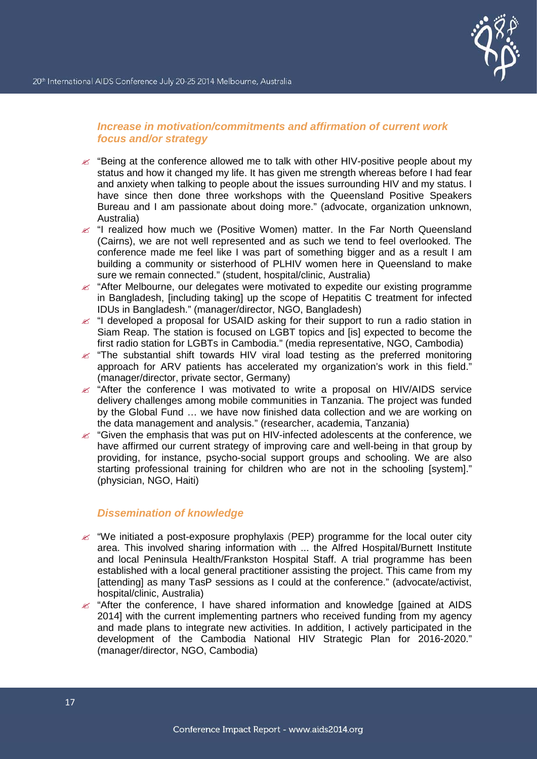## *Increase in motivation/commitments and affirmation of current work focus and/or strategy*

- $\approx$  "Being at the conference allowed me to talk with other HIV-positive people about my status and how it changed my life. It has given me strength whereas before I had fear and anxiety when talking to people about the issues surrounding HIV and my status. I have since then done three workshops with the Queensland Positive Speakers Bureau and I am passionate about doing more." (advocate, organization unknown, Australia)
- $\epsilon$  "I realized how much we (Positive Women) matter. In the Far North Queensland (Cairns), we are not well represented and as such we tend to feel overlooked. The conference made me feel like I was part of something bigger and as a result I am building a community or sisterhood of PLHIV women here in Queensland to make sure we remain connected." (student, hospital/clinic, Australia)
- $\mathscr{L}$  "After Melbourne, our delegates were motivated to expedite our existing programme in Bangladesh, [including taking] up the scope of Hepatitis C treatment for infected IDUs in Bangladesh." (manager/director, NGO, Bangladesh)
- $\epsilon$  "I developed a proposal for USAID asking for their support to run a radio station in Siam Reap. The station is focused on LGBT topics and [is] expected to become the first radio station for LGBTs in Cambodia." (media representative, NGO, Cambodia)
- $\epsilon$  "The substantial shift towards HIV viral load testing as the preferred monitoring approach for ARV patients has accelerated my organization's work in this field." (manager/director, private sector, Germany)
- $\approx$  "After the conference I was motivated to write a proposal on HIV/AIDS service delivery challenges among mobile communities in Tanzania. The project was funded by the Global Fund … we have now finished data collection and we are working on the data management and analysis." (researcher, academia, Tanzania)
- $\mathscr{L}$  "Given the emphasis that was put on HIV-infected adolescents at the conference, we have affirmed our current strategy of improving care and well-being in that group by providing, for instance, psycho-social support groups and schooling. We are also starting professional training for children who are not in the schooling [system]." (physician, NGO, Haiti)

### *Dissemination of knowledge*

- $\mathscr{A}$  "We initiated a post-exposure prophylaxis (PEP) programme for the local outer city area. This involved sharing information with ... the Alfred Hospital/Burnett Institute and local Peninsula Health/Frankston Hospital Staff. A trial programme has been established with a local general practitioner assisting the project. This came from my [attending] as many TasP sessions as I could at the conference." (advocate/activist, hospital/clinic, Australia)
- $\mathscr{L}$  "After the conference, I have shared information and knowledge [gained at AIDS 2014] with the current implementing partners who received funding from my agency and made plans to integrate new activities. In addition, I actively participated in the development of the Cambodia National HIV Strategic Plan for 2016-2020." (manager/director, NGO, Cambodia)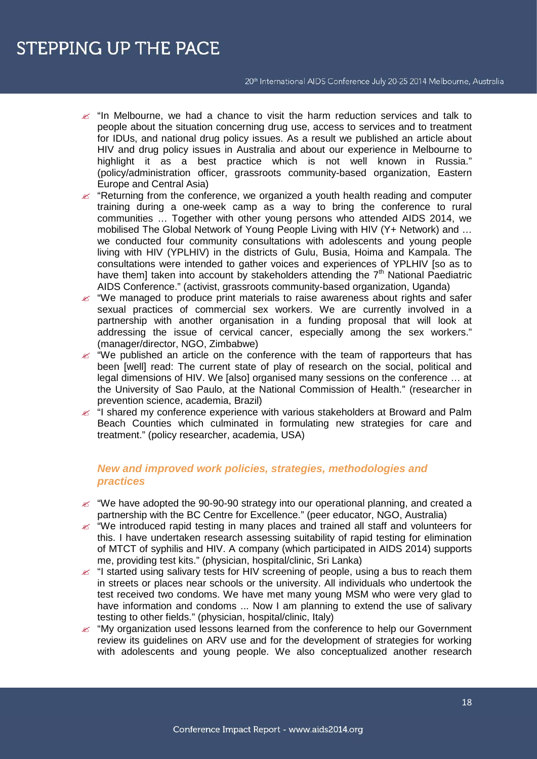#### 20<sup>th</sup> International AIDS Conference July 20-25 2014 Melbourne, Australia

- $\approx$  "In Melbourne, we had a chance to visit the harm reduction services and talk to people about the situation concerning drug use, access to services and to treatment for IDUs, and national drug policy issues. As a result we published an article about HIV and drug policy issues in Australia and about our experience in Melbourne to highlight it as a best practice which is not well known in Russia." (policy/administration officer, grassroots community-based organization, Eastern Europe and Central Asia)
- $\mathscr{L}$  "Returning from the conference, we organized a youth health reading and computer training during a one-week camp as a way to bring the conference to rural communities … Together with other young persons who attended AIDS 2014, we mobilised The Global Network of Young People Living with HIV (Y+ Network) and … we conducted four community consultations with adolescents and young people living with HIV (YPLHIV) in the districts of Gulu, Busia, Hoima and Kampala. The consultations were intended to gather voices and experiences of YPLHIV [so as to have them] taken into account by stakeholders attending the  $7<sup>th</sup>$  National Paediatric AIDS Conference." (activist, grassroots community-based organization, Uganda)
- $\mathcal{L}$  "We managed to produce print materials to raise awareness about rights and safer sexual practices of commercial sex workers. We are currently involved in a partnership with another organisation in a funding proposal that will look at addressing the issue of cervical cancer, especially among the sex workers." (manager/director, NGO, Zimbabwe)
- $\mathscr{L}$  "We published an article on the conference with the team of rapporteurs that has been [well] read: The current state of play of research on the social, political and legal dimensions of HIV. We [also] organised many sessions on the conference … at the University of Sao Paulo, at the National Commission of Health." (researcher in prevention science, academia, Brazil)
- $\leq$  "I shared my conference experience with various stakeholders at Broward and Palm Beach Counties which culminated in formulating new strategies for care and treatment." (policy researcher, academia, USA)

## *New and improved work policies, strategies, methodologies and practices*

- $\ll$  "We have adopted the 90-90-90 strategy into our operational planning, and created a partnership with the BC Centre for Excellence." (peer educator, NGO, Australia)
- $\mathscr{L}$  "We introduced rapid testing in many places and trained all staff and volunteers for this. I have undertaken research assessing suitability of rapid testing for elimination of MTCT of syphilis and HIV. A company (which participated in AIDS 2014) supports me, providing test kits." (physician, hospital/clinic, Sri Lanka)
- $\approx$  "I started using salivary tests for HIV screening of people, using a bus to reach them in streets or places near schools or the university. All individuals who undertook the test received two condoms. We have met many young MSM who were very glad to have information and condoms ... Now I am planning to extend the use of salivary testing to other fields." (physician, hospital/clinic, Italy)
- $\mathscr{A}$  "My organization used lessons learned from the conference to help our Government review its guidelines on ARV use and for the development of strategies for working with adolescents and young people. We also conceptualized another research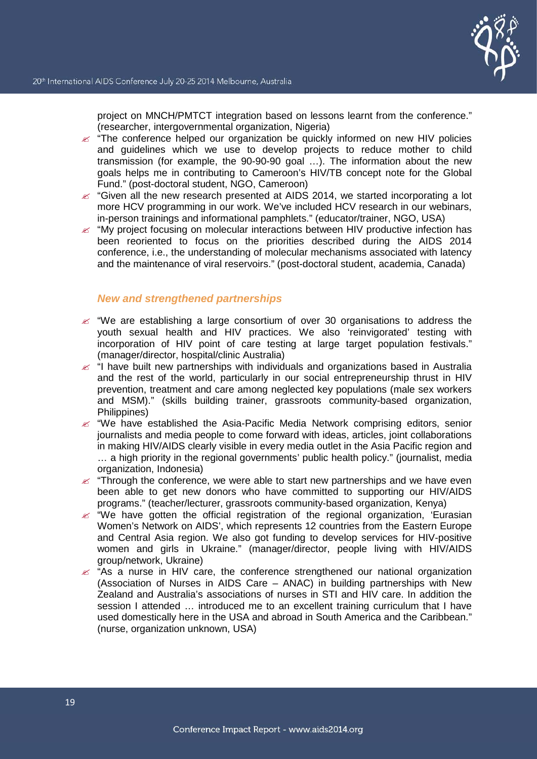project on MNCH/PMTCT integration based on lessons learnt from the conference." (researcher, intergovernmental organization, Nigeria)

- $\epsilon$  "The conference helped our organization be quickly informed on new HIV policies and guidelines which we use to develop projects to reduce mother to child transmission (for example, the 90-90-90 goal …). The information about the new goals helps me in contributing to Cameroon's HIV/TB concept note for the Global Fund." (post-doctoral student, NGO, Cameroon)
- $\epsilon$  "Given all the new research presented at AIDS 2014, we started incorporating a lot more HCV programming in our work. We've included HCV research in our webinars, in-person trainings and informational pamphlets." (educator/trainer, NGO, USA)
- $\mathscr{L}$  "My project focusing on molecular interactions between HIV productive infection has been reoriented to focus on the priorities described during the AIDS 2014 conference, i.e., the understanding of molecular mechanisms associated with latency and the maintenance of viral reservoirs." (post-doctoral student, academia, Canada)

## *New and strengthened partnerships*

- $\approx$  "We are establishing a large consortium of over 30 organisations to address the youth sexual health and HIV practices. We also 'reinvigorated' testing with incorporation of HIV point of care testing at large target population festivals." (manager/director, hospital/clinic Australia)
- $\approx$  "I have built new partnerships with individuals and organizations based in Australia and the rest of the world, particularly in our social entrepreneurship thrust in HIV prevention, treatment and care among neglected key populations (male sex workers and MSM)." (skills building trainer, grassroots community-based organization, Philippines)
- $\approx$  "We have established the Asia-Pacific Media Network comprising editors, senior journalists and media people to come forward with ideas, articles, joint collaborations in making HIV/AIDS clearly visible in every media outlet in the Asia Pacific region and … a high priority in the regional governments' public health policy." (journalist, media organization, Indonesia)
- $\epsilon$  "Through the conference, we were able to start new partnerships and we have even been able to get new donors who have committed to supporting our HIV/AIDS programs." (teacher/lecturer, grassroots community-based organization, Kenya)
- $\ll$  "We have gotten the official registration of the regional organization, Eurasian Women's Network on AIDS', which represents 12 countries from the Eastern Europe and Central Asia region. We also got funding to develop services for HIV-positive women and girls in Ukraine." (manager/director, people living with HIV/AIDS group/network, Ukraine)
- $\approx$  "As a nurse in HIV care, the conference strengthened our national organization (Association of Nurses in AIDS Care – ANAC) in building partnerships with New Zealand and Australia's associations of nurses in STI and HIV care. In addition the session I attended ... introduced me to an excellent training curriculum that I have used domestically here in the USA and abroad in South America and the Caribbean." (nurse, organization unknown, USA)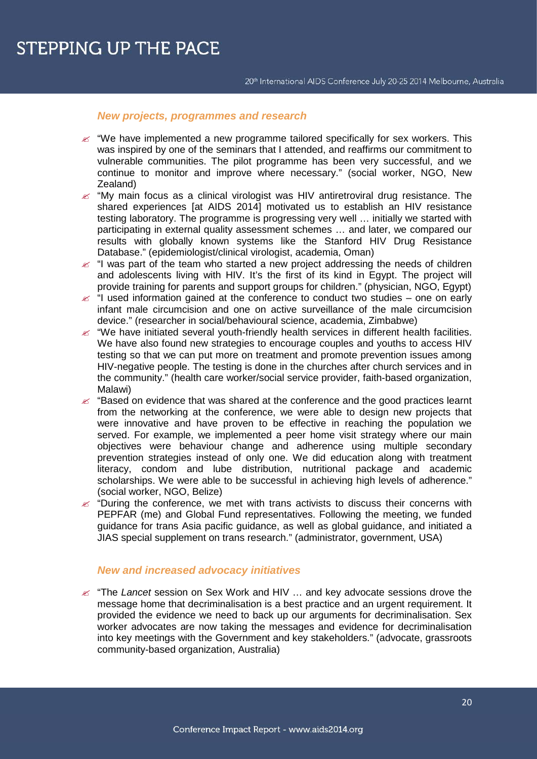### *New projects, programmes and research*

- $\approx$  "We have implemented a new programme tailored specifically for sex workers. This was inspired by one of the seminars that I attended, and reaffirms our commitment to vulnerable communities. The pilot programme has been very successful, and we continue to monitor and improve where necessary." (social worker, NGO, New Zealand)
- $\approx$  "My main focus as a clinical virologist was HIV antiretroviral drug resistance. The shared experiences [at AIDS 2014] motivated us to establish an HIV resistance testing laboratory. The programme is progressing very well … initially we started with participating in external quality assessment schemes … and later, we compared our results with globally known systems like the Stanford HIV Drug Resistance Database." (epidemiologist/clinical virologist, academia, Oman)
- $\mathscr{L}$  "I was part of the team who started a new project addressing the needs of children and adolescents living with HIV. It's the first of its kind in Egypt. The project will provide training for parents and support groups for children." (physician, NGO, Egypt)
- $\le$  "I used information gained at the conference to conduct two studies one on early infant male circumcision and one on active surveillance of the male circumcision device." (researcher in social/behavioural science, academia, Zimbabwe)
- $\mathscr{L}$  "We have initiated several youth-friendly health services in different health facilities. We have also found new strategies to encourage couples and youths to access HIV testing so that we can put more on treatment and promote prevention issues among HIV-negative people. The testing is done in the churches after church services and in the community." (health care worker/social service provider, faith-based organization, Malawi)
- $\mathscr{L}$  "Based on evidence that was shared at the conference and the good practices learnt from the networking at the conference, we were able to design new projects that were innovative and have proven to be effective in reaching the population we served. For example, we implemented a peer home visit strategy where our main objectives were behaviour change and adherence using multiple secondary prevention strategies instead of only one. We did education along with treatment literacy, condom and lube distribution, nutritional package and academic scholarships. We were able to be successful in achieving high levels of adherence." (social worker, NGO, Belize)
- $\mathscr{L}$  "During the conference, we met with trans activists to discuss their concerns with PEPFAR (me) and Global Fund representatives. Following the meeting, we funded guidance for trans Asia pacific guidance, as well as global guidance, and initiated a JIAS special supplement on trans research." (administrator, government, USA)

### *New and increased advocacy initiatives*

 "The *Lancet* session on Sex Work and HIV … and key advocate sessions drove the message home that decriminalisation is a best practice and an urgent requirement. It provided the evidence we need to back up our arguments for decriminalisation. Sex worker advocates are now taking the messages and evidence for decriminalisation into key meetings with the Government and key stakeholders." (advocate, grassroots community-based organization, Australia)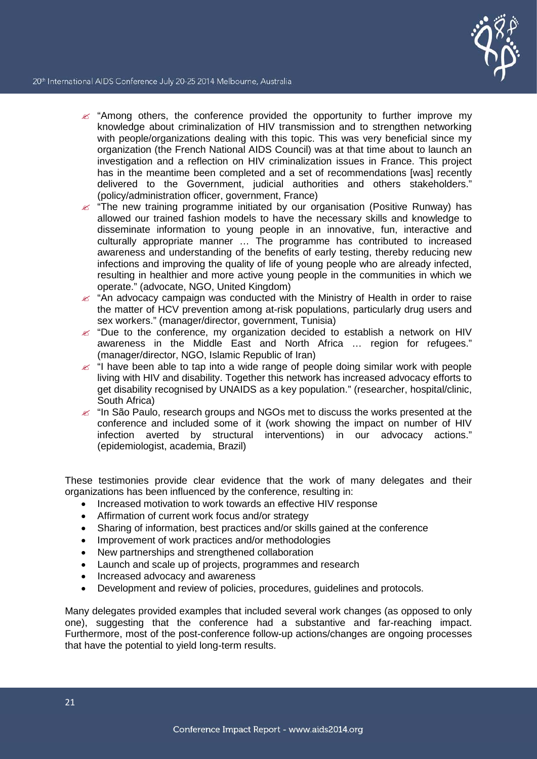

- $\approx$  "Among others, the conference provided the opportunity to further improve my knowledge about criminalization of HIV transmission and to strengthen networking with people/organizations dealing with this topic. This was very beneficial since my organization (the French National AIDS Council) was at that time about to launch an investigation and a reflection on HIV criminalization issues in France. This project has in the meantime been completed and a set of recommendations [was] recently delivered to the Government, judicial authorities and others stakeholders." (policy/administration officer, government, France)
- $\epsilon$  "The new training programme initiated by our organisation (Positive Runway) has allowed our trained fashion models to have the necessary skills and knowledge to disseminate information to young people in an innovative, fun, interactive and culturally appropriate manner … The programme has contributed to increased awareness and understanding of the benefits of early testing, thereby reducing new infections and improving the quality of life of young people who are already infected, resulting in healthier and more active young people in the communities in which we operate." (advocate, NGO, United Kingdom)
- $\approx$  "An advocacy campaign was conducted with the Ministry of Health in order to raise the matter of HCV prevention among at-risk populations, particularly drug users and sex workers." (manager/director, government, Tunisia)
- $\mathscr{L}$  "Due to the conference, my organization decided to establish a network on HIV awareness in the Middle East and North Africa … region for refugees." (manager/director, NGO, Islamic Republic of Iran)
- $\approx$  "I have been able to tap into a wide range of people doing similar work with people living with HIV and disability. Together this network has increased advocacy efforts to get disability recognised by UNAIDS as a key population." (researcher, hospital/clinic, South Africa)
- $\approx$  "In São Paulo, research groups and NGOs met to discuss the works presented at the conference and included some of it (work showing the impact on number of HIV infection averted by structural interventions) in our advocacy actions." (epidemiologist, academia, Brazil)

These testimonies provide clear evidence that the work of many delegates and their organizations has been influenced by the conference, resulting in:

- Increased motivation to work towards an effective HIV response
- Affirmation of current work focus and/or strategy
- Sharing of information, best practices and/or skills gained at the conference
- Improvement of work practices and/or methodologies
- New partnerships and strengthened collaboration
- Launch and scale up of projects, programmes and research
- Increased advocacy and awareness
- Development and review of policies, procedures, guidelines and protocols.

Many delegates provided examples that included several work changes (as opposed to only one), suggesting that the conference had a substantive and far-reaching impact. Furthermore, most of the post-conference follow-up actions/changes are ongoing processes that have the potential to yield long-term results.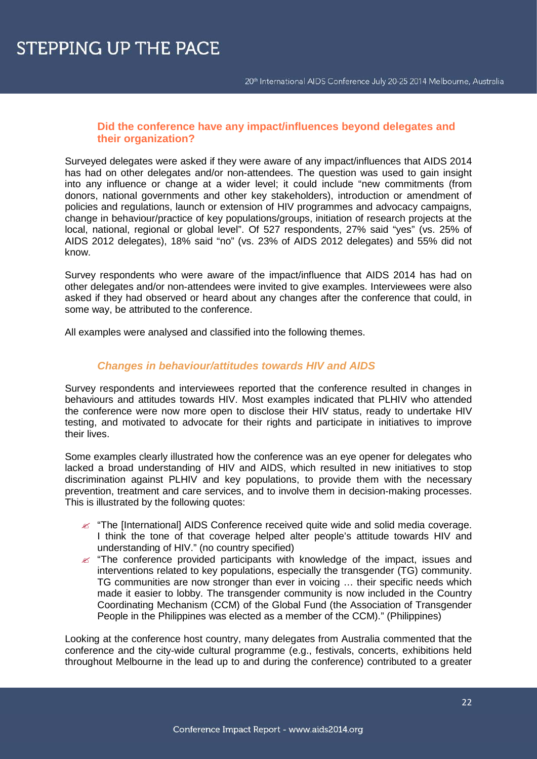### **Did the conference have any impact/influences beyond delegates and their organization?**

Surveyed delegates were asked if they were aware of any impact/influences that AIDS 2014 has had on other delegates and/or non-attendees. The question was used to gain insight into any influence or change at a wider level; it could include "new commitments (from donors, national governments and other key stakeholders), introduction or amendment of policies and regulations, launch or extension of HIV programmes and advocacy campaigns, change in behaviour/practice of key populations/groups, initiation of research projects at the local, national, regional or global level". Of 527 respondents, 27% said "yes" (vs. 25% of AIDS 2012 delegates), 18% said "no" (vs. 23% of AIDS 2012 delegates) and 55% did not know.

Survey respondents who were aware of the impact/influence that AIDS 2014 has had on other delegates and/or non-attendees were invited to give examples. Interviewees were also asked if they had observed or heard about any changes after the conference that could, in some way, be attributed to the conference.

All examples were analysed and classified into the following themes.

## *Changes in behaviour/attitudes towards HIV and AIDS*

Survey respondents and interviewees reported that the conference resulted in changes in behaviours and attitudes towards HIV. Most examples indicated that PLHIV who attended the conference were now more open to disclose their HIV status, ready to undertake HIV testing, and motivated to advocate for their rights and participate in initiatives to improve their lives.

Some examples clearly illustrated how the conference was an eye opener for delegates who lacked a broad understanding of HIV and AIDS, which resulted in new initiatives to stop discrimination against PLHIV and key populations, to provide them with the necessary prevention, treatment and care services, and to involve them in decision-making processes. This is illustrated by the following quotes:

- $\mathcal{L}$  "The [International] AIDS Conference received quite wide and solid media coverage. I think the tone of that coverage helped alter people's attitude towards HIV and understanding of HIV." (no country specified)
- $\mathscr{L}$  "The conference provided participants with knowledge of the impact, issues and interventions related to key populations, especially the transgender (TG) community. TG communities are now stronger than ever in voicing … their specific needs which made it easier to lobby. The transgender community is now included in the Country Coordinating Mechanism (CCM) of the Global Fund (the Association of Transgender People in the Philippines was elected as a member of the CCM)." (Philippines)

Looking at the conference host country, many delegates from Australia commented that the conference and the city-wide cultural programme (e.g., festivals, concerts, exhibitions held throughout Melbourne in the lead up to and during the conference) contributed to a greater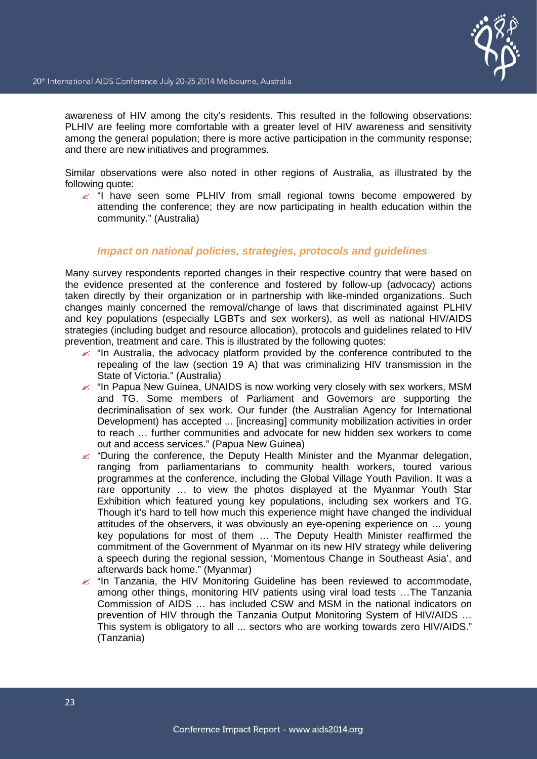awareness of HIV among the city's residents. This resulted in the following observations: PLHIV are feeling more comfortable with a greater level of HIV awareness and sensitivity among the general population; there is more active participation in the community response; and there are new initiatives and programmes.

Similar observations were also noted in other regions of Australia, as illustrated by the following quote:

 $\leq$  "I have seen some PLHIV from small regional towns become empowered by attending the conference; they are now participating in health education within the community." (Australia)

### *Impact on national policies, strategies, protocols and guidelines*

Many survey respondents reported changes in their respective country that were based on the evidence presented at the conference and fostered by follow-up (advocacy) actions taken directly by their organization or in partnership with like-minded organizations. Such changes mainly concerned the removal/change of laws that discriminated against PLHIV and key populations (especially LGBTs and sex workers), as well as national HIV/AIDS strategies (including budget and resource allocation), protocols and guidelines related to HIV prevention, treatment and care. This is illustrated by the following quotes:

- $\epsilon$  "In Australia, the advocacy platform provided by the conference contributed to the repealing of the law (section 19 A) that was criminalizing HIV transmission in the State of Victoria." (Australia)
- $\epsilon$  "In Papua New Guinea, UNAIDS is now working very closely with sex workers, MSM and TG. Some members of Parliament and Governors are supporting the decriminalisation of sex work. Our funder (the Australian Agency for International Development) has accepted ... [increasing] community mobilization activities in order to reach … further communities and advocate for new hidden sex workers to come out and access services." (Papua New Guinea)
- $\mathscr{L}$  "During the conference, the Deputy Health Minister and the Myanmar delegation, ranging from parliamentarians to community health workers, toured various programmes at the conference, including the Global Village Youth Pavilion. It was a rare opportunity … to view the photos displayed at the Myanmar Youth Star Exhibition which featured young key populations, including sex workers and TG. Though it's hard to tell how much this experience might have changed the individual attitudes of the observers, it was obviously an eye-opening experience on … young key populations for most of them … The Deputy Health Minister reaffirmed the commitment of the Government of Myanmar on its new HIV strategy while delivering a speech during the regional session, 'Momentous Change in Southeast Asia', and afterwards back home." (Myanmar)
- $\epsilon$  "In Tanzania, the HIV Monitoring Guideline has been reviewed to accommodate, among other things, monitoring HIV patients using viral load tests …The Tanzania Commission of AIDS … has included CSW and MSM in the national indicators on prevention of HIV through the Tanzania Output Monitoring System of HIV/AIDS … This system is obligatory to all ... sectors who are working towards zero HIV/AIDS." (Tanzania)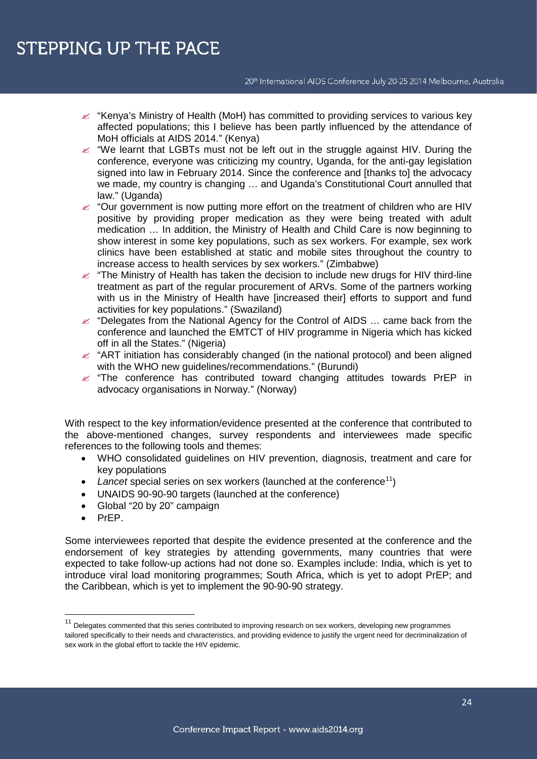20<sup>th</sup> International AIDS Conference July 20-25 2014 Melbourne, Australia

- $\mathscr{L}$  "Kenya's Ministry of Health (MoH) has committed to providing services to various key affected populations; this I believe has been partly influenced by the attendance of MoH officials at AIDS 2014." (Kenya)
- $\mathscr{L}$  "We learnt that LGBTs must not be left out in the struggle against HIV. During the conference, everyone was criticizing my country, Uganda, for the anti-gay legislation signed into law in February 2014. Since the conference and [thanks to] the advocacy we made, my country is changing ... and Uganda's Constitutional Court annulled that law." (Uganda)
- $\mathscr{L}$  "Our government is now putting more effort on the treatment of children who are HIV positive by providing proper medication as they were being treated with adult medication … In addition, the Ministry of Health and Child Care is now beginning to show interest in some key populations, such as sex workers. For example, sex work clinics have been established at static and mobile sites throughout the country to increase access to health services by sex workers." (Zimbabwe)
- $\epsilon$  "The Ministry of Health has taken the decision to include new drugs for HIV third-line treatment as part of the regular procurement of ARVs. Some of the partners working with us in the Ministry of Health have [increased their] efforts to support and fund activities for key populations." (Swaziland)
- $\mathscr{L}$  "Delegates from the National Agency for the Control of AIDS ... came back from the conference and launched the EMTCT of HIV programme in Nigeria which has kicked off in all the States." (Nigeria)
- $\mathscr{L}$  "ART initiation has considerably changed (in the national protocol) and been aligned with the WHO new quidelines/recommendations." (Burundi)
- $\mathscr{L}$  "The conference has contributed toward changing attitudes towards PrEP in advocacy organisations in Norway." (Norway)

With respect to the key information/evidence presented at the conference that contributed to the above-mentioned changes, survey respondents and interviewees made specific references to the following tools and themes:

- WHO consolidated guidelines on HIV prevention, diagnosis, treatment and care for key populations
- Lancet special series on sex workers (launched at the conference<sup>[11](#page-24-0)</sup>)
- UNAIDS 90-90-90 targets (launched at the conference)
- Global "20 by 20" campaign
- PrEP.

Some interviewees reported that despite the evidence presented at the conference and the endorsement of key strategies by attending governments, many countries that were expected to take follow-up actions had not done so. Examples include: India, which is yet to introduce viral load monitoring programmes; South Africa, which is yet to adopt PrEP; and the Caribbean, which is yet to implement the 90-90-90 strategy.

<span id="page-24-0"></span><sup>&</sup>lt;sup>11</sup> Delegates commented that this series contributed to improving research on sex workers, developing new programmes tailored specifically to their needs and characteristics, and providing evidence to justify the urgent need for decriminalization of sex work in the global effort to tackle the HIV epidemic.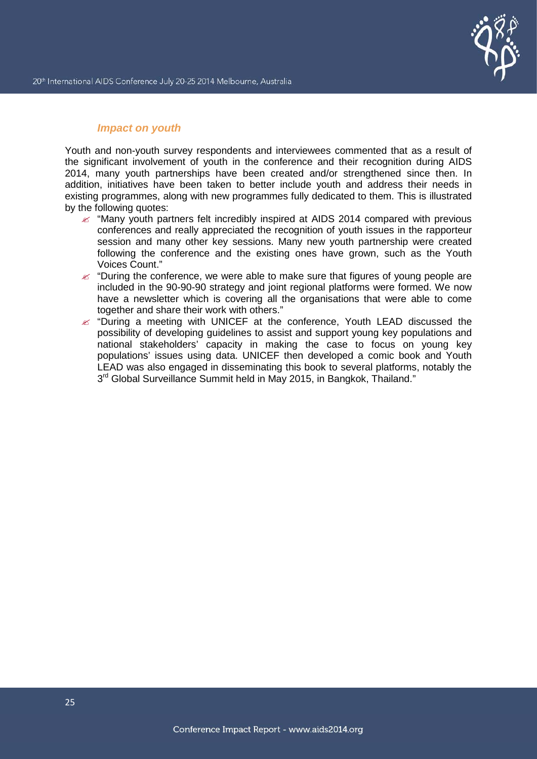

## *Impact on youth*

Youth and non-youth survey respondents and interviewees commented that as a result of the significant involvement of youth in the conference and their recognition during AIDS 2014, many youth partnerships have been created and/or strengthened since then. In addition, initiatives have been taken to better include youth and address their needs in existing programmes, along with new programmes fully dedicated to them. This is illustrated by the following quotes:

- $\ll$  "Many youth partners felt incredibly inspired at AIDS 2014 compared with previous conferences and really appreciated the recognition of youth issues in the rapporteur session and many other key sessions. Many new youth partnership were created following the conference and the existing ones have grown, such as the Youth Voices Count."
- $\epsilon$  "During the conference, we were able to make sure that figures of young people are included in the 90-90-90 strategy and joint regional platforms were formed. We now have a newsletter which is covering all the organisations that were able to come together and share their work with others."
- $\epsilon$  "During a meeting with UNICEF at the conference, Youth LEAD discussed the possibility of developing guidelines to assist and support young key populations and national stakeholders' capacity in making the case to focus on young key populations' issues using data. UNICEF then developed a comic book and Youth LEAD was also engaged in disseminating this book to several platforms, notably the 3<sup>rd</sup> Global Surveillance Summit held in May 2015, in Bangkok, Thailand."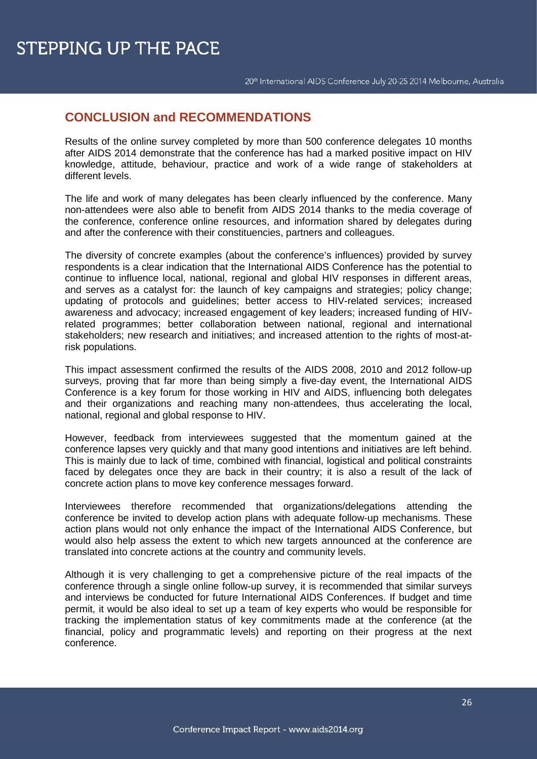# **CONCLUSION and RECOMMENDATIONS**

Results of the online survey completed by more than 500 conference delegates 10 months after AIDS 2014 demonstrate that the conference has had a marked positive impact on HIV knowledge, attitude, behaviour, practice and work of a wide range of stakeholders at different levels.

The life and work of many delegates has been clearly influenced by the conference. Many non-attendees were also able to benefit from AIDS 2014 thanks to the media coverage of the conference, conference online resources, and information shared by delegates during and after the conference with their constituencies, partners and colleagues.

The diversity of concrete examples (about the conference's influences) provided by survey respondents is a clear indication that the International AIDS Conference has the potential to continue to influence local, national, regional and global HIV responses in different areas, and serves as a catalyst for: the launch of key campaigns and strategies; policy change; updating of protocols and guidelines; better access to HIV-related services; increased awareness and advocacy; increased engagement of key leaders; increased funding of HIVrelated programmes; better collaboration between national, regional and international stakeholders; new research and initiatives; and increased attention to the rights of most-atrisk populations.

This impact assessment confirmed the results of the AIDS 2008, 2010 and 2012 follow-up surveys, proving that far more than being simply a five-day event, the International AIDS Conference is a key forum for those working in HIV and AIDS, influencing both delegates and their organizations and reaching many non-attendees, thus accelerating the local, national, regional and global response to HIV.

However, feedback from interviewees suggested that the momentum gained at the conference lapses very quickly and that many good intentions and initiatives are left behind. This is mainly due to lack of time, combined with financial, logistical and political constraints faced by delegates once they are back in their country; it is also a result of the lack of concrete action plans to move key conference messages forward.

Interviewees therefore recommended that organizations/delegations attending the conference be invited to develop action plans with adequate follow-up mechanisms. These action plans would not only enhance the impact of the International AIDS Conference, but would also help assess the extent to which new targets announced at the conference are translated into concrete actions at the country and community levels.

Although it is very challenging to get a comprehensive picture of the real impacts of the conference through a single online follow-up survey, it is recommended that similar surveys and interviews be conducted for future International AIDS Conferences. If budget and time permit, it would be also ideal to set up a team of key experts who would be responsible for tracking the implementation status of key commitments made at the conference (at the financial, policy and programmatic levels) and reporting on their progress at the next conference.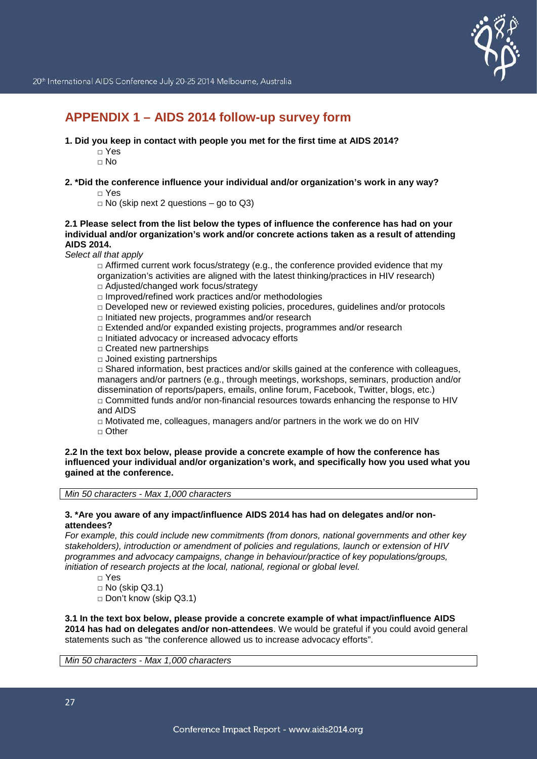

# **APPENDIX 1 – AIDS 2014 follow-up survey form**

- **1. Did you keep in contact with people you met for the first time at AIDS 2014?**
	- □ Yes
	- □ No
- **2. \*Did the conference influence your individual and/or organization's work in any way?**
	- □ Yes
	- $\Box$  No (skip next 2 questions go to Q3)

#### **2.1 Please select from the list below the types of influence the conference has had on your individual and/or organization's work and/or concrete actions taken as a result of attending AIDS 2014.**

*Select all that apply*

 $\Box$  Affirmed current work focus/strategy (e.g., the conference provided evidence that my organization's activities are aligned with the latest thinking/practices in HIV research)

- □ Adiusted/changed work focus/strategy
- □ Improved/refined work practices and/or methodologies
- □ Developed new or reviewed existing policies, procedures, guidelines and/or protocols
- □ Initiated new projects, programmes and/or research
- □ Extended and/or expanded existing projects, programmes and/or research
- □ Initiated advocacy or increased advocacy efforts
- □ Created new partnerships
- $\square$  Joined existing partnerships

 $\Box$  Shared information, best practices and/or skills gained at the conference with colleagues, managers and/or partners (e.g., through meetings, workshops, seminars, production and/or dissemination of reports/papers, emails, online forum, Facebook, Twitter, blogs, etc.)  $\Box$  Committed funds and/or non-financial resources towards enhancing the response to HIV

and AIDS

 $\Box$  Motivated me, colleagues, managers and/or partners in the work we do on HIV □ Other

#### **2.2 In the text box below, please provide a concrete example of how the conference has influenced your individual and/or organization's work, and specifically how you used what you gained at the conference.**

*Min 50 characters - Max 1,000 characters*

#### **3. \*Are you aware of any impact/influence AIDS 2014 has had on delegates and/or nonattendees?**

*For example, this could include new commitments (from donors, national governments and other key stakeholders), introduction or amendment of policies and regulations, launch or extension of HIV programmes and advocacy campaigns, change in behaviour/practice of key populations/groups, initiation of research projects at the local, national, regional or global level.*

- □ Yes
- $\Box$  No (skip Q3.1)
- □ Don't know (skip Q3.1)

**3.1 In the text box below, please provide a concrete example of what impact/influence AIDS 2014 has had on delegates and/or non-attendees**. We would be grateful if you could avoid general statements such as "the conference allowed us to increase advocacy efforts".

*Min 50 characters - Max 1,000 characters*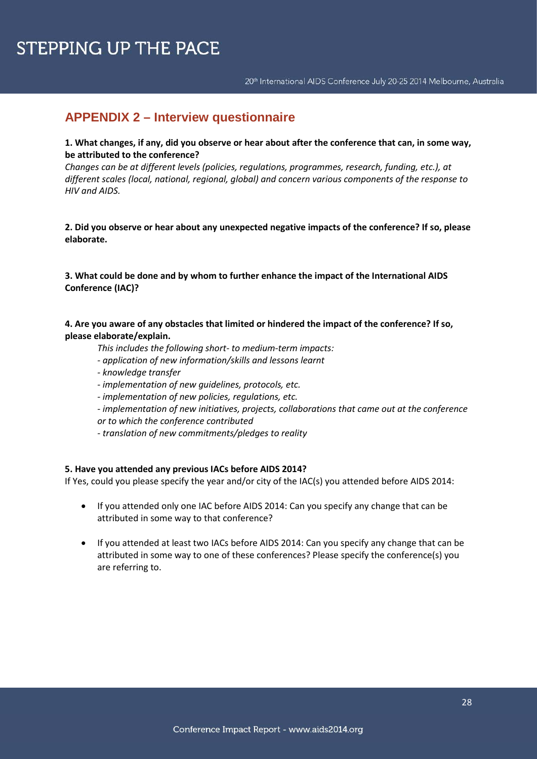# **APPENDIX 2 – Interview questionnaire**

### **1. What changes, if any, did you observe or hear about after the conference that can, in some way, be attributed to the conference?**

*Changes can be at different levels (policies, regulations, programmes, research, funding, etc.), at different scales (local, national, regional, global) and concern various components of the response to HIV and AIDS.*

**2. Did you observe or hear about any unexpected negative impacts of the conference? If so, please elaborate.**

### **3. What could be done and by whom to further enhance the impact of the International AIDS Conference (IAC)?**

**4. Are you aware of any obstacles that limited or hindered the impact of the conference? If so, please elaborate/explain.**

- *This includes the following short- to medium-term impacts:*
- *- application of new information/skills and lessons learnt*
- *- knowledge transfer*
- *- implementation of new guidelines, protocols, etc.*
- *- implementation of new policies, regulations, etc.*
- *- implementation of new initiatives, projects, collaborations that came out at the conference*
- *or to which the conference contributed*
- *- translation of new commitments/pledges to reality*

#### **5. Have you attended any previous IACs before AIDS 2014?**

If Yes, could you please specify the year and/or city of the IAC(s) you attended before AIDS 2014:

- If you attended only one IAC before AIDS 2014: Can you specify any change that can be attributed in some way to that conference?
- If you attended at least two IACs before AIDS 2014: Can you specify any change that can be attributed in some way to one of these conferences? Please specify the conference(s) you are referring to.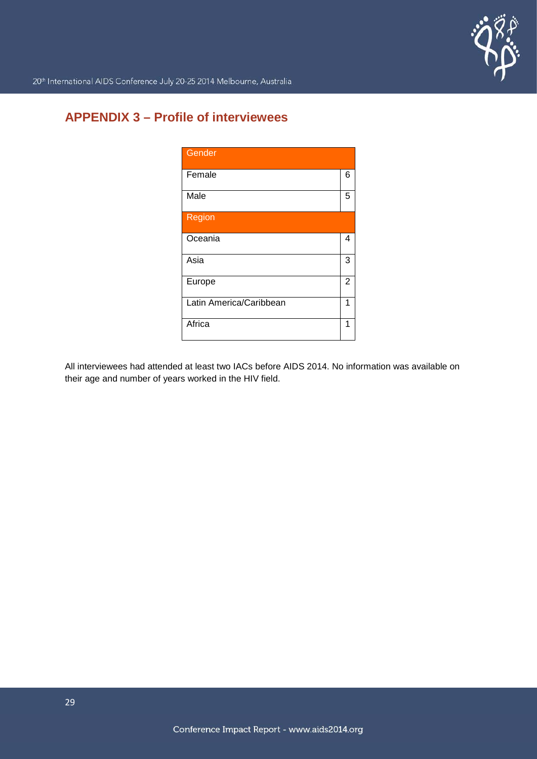

# **APPENDIX 3 – Profile of interviewees**

| Gender                  |                |
|-------------------------|----------------|
| Female                  | 6              |
| Male                    | 5              |
| <b>Region</b>           |                |
| Oceania                 | 4              |
| Asia                    | 3              |
| Europe                  | $\overline{2}$ |
| Latin America/Caribbean | 1              |
| Africa                  | 1              |

All interviewees had attended at least two IACs before AIDS 2014. No information was available on their age and number of years worked in the HIV field.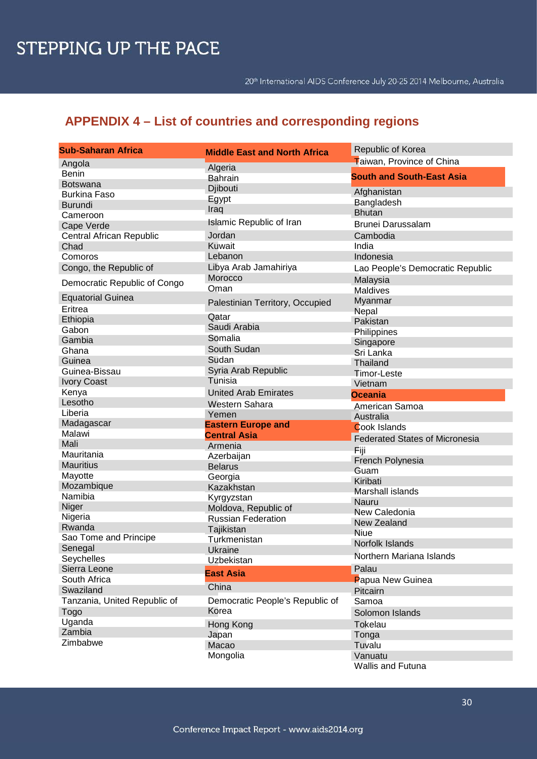# **APPENDIX 4 – List of countries and corresponding regions**

| <b>Sub-Saharan Africa</b>    | <b>Middle East and North Africa</b> | Republic of Korea                     |
|------------------------------|-------------------------------------|---------------------------------------|
| Angola                       |                                     | Taiwan, Province of China             |
| <b>Benin</b>                 | Algeria                             | <b>South and South-East Asia</b>      |
| <b>Botswana</b>              | <b>Bahrain</b>                      |                                       |
| <b>Burkina Faso</b>          | Djibouti                            | Afghanistan                           |
| <b>Burundi</b>               | Egypt                               | Bangladesh                            |
| Cameroon                     | Iraq                                | <b>Bhutan</b>                         |
| Cape Verde                   | <b>Islamic Republic of Iran</b>     | <b>Brunei Darussalam</b>              |
| Central African Republic     | Jordan                              | Cambodia                              |
| Chad                         | Kuwait                              | India                                 |
| Comoros                      | Lebanon                             | Indonesia                             |
| Congo, the Republic of       | Libya Arab Jamahiriya               | Lao People's Democratic Republic      |
|                              | Morocco                             | Malaysia                              |
| Democratic Republic of Congo | Oman                                | Maldives                              |
| <b>Equatorial Guinea</b>     | Palestinian Territory, Occupied     | Myanmar                               |
| Eritrea                      |                                     | Nepal                                 |
| Ethiopia                     | Qatar                               | Pakistan                              |
| Gabon                        | Saudi Arabia                        | Philippines                           |
| Gambia                       | Somalia                             | Singapore                             |
| Ghana                        | South Sudan                         | Sri Lanka                             |
| Guinea                       | Sudan                               | Thailand                              |
| Guinea-Bissau                | Syria Arab Republic                 | <b>Timor-Leste</b>                    |
| <b>Ivory Coast</b>           | Tunisia                             | Vietnam                               |
| Kenya                        | <b>United Arab Emirates</b>         | <b>Oceania</b>                        |
| Lesotho                      | Western Sahara                      | <b>American Samoa</b>                 |
| Liberia                      | Yemen                               | Australia                             |
| Madagascar                   | <b>Eastern Europe and</b>           | <b>Cook Islands</b>                   |
| Malawi                       | <b>Central Asia</b>                 | <b>Federated States of Micronesia</b> |
| Mali                         | Armenia                             | Fiji                                  |
| Mauritania                   | Azerbaijan                          | French Polynesia                      |
| <b>Mauritius</b>             | <b>Belarus</b>                      | Guam                                  |
| Mayotte                      | Georgia                             | Kiribati                              |
| Mozambique                   | Kazakhstan                          | <b>Marshall islands</b>               |
| Namibia                      | Kyrgyzstan                          | Nauru                                 |
| Niger                        | Moldova, Republic of                | New Caledonia                         |
| Nigeria                      | <b>Russian Federation</b>           | New Zealand                           |
| Rwanda                       | Tajikistan                          | <b>Niue</b>                           |
| Sao Tome and Principe        | Turkmenistan                        | Norfolk Islands                       |
| Senegal                      | Ukraine                             |                                       |
| Seychelles                   | Uzbekistan                          | Northern Mariana Islands              |
| Sierra Leone                 | <b>East Asia</b>                    | Palau                                 |
| South Africa                 |                                     | Papua New Guinea                      |
| Swaziland                    | China                               | Pitcairn                              |
| Tanzania, United Republic of | Democratic People's Republic of     | Samoa                                 |
| <b>Togo</b>                  | Korea                               | Solomon Islands                       |
| Uganda                       | Hong Kong                           | <b>Tokelau</b>                        |
| Zambia                       | Japan                               | Tonga                                 |
| Zimbabwe                     | Macao                               | Tuvalu                                |
|                              | Mongolia                            | Vanuatu                               |
|                              |                                     |                                       |

Wallis and Futuna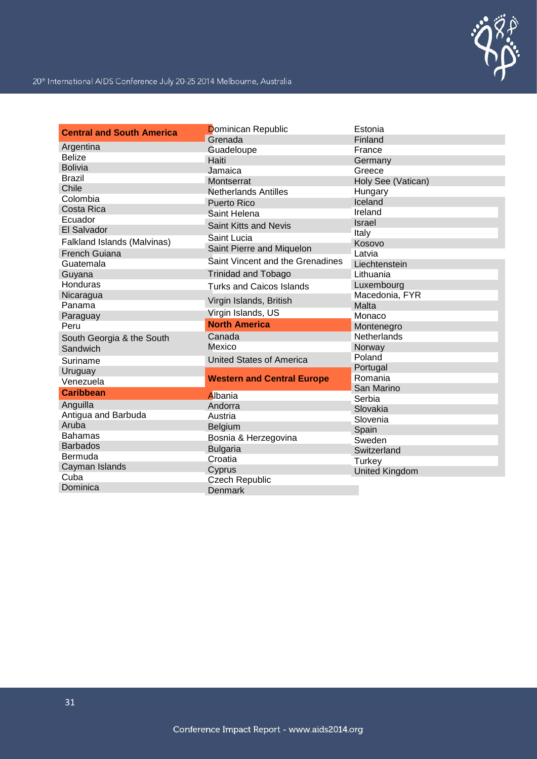

| <b>Central and South America</b> | Dominican Republic                | Estonia            |
|----------------------------------|-----------------------------------|--------------------|
|                                  | Grenada                           | Finland            |
| Argentina                        | Guadeloupe                        | France             |
| <b>Belize</b>                    | Haiti                             | Germany            |
| <b>Bolivia</b>                   | Jamaica                           | Greece             |
| <b>Brazil</b>                    | Montserrat                        | Holy See (Vatican) |
| Chile                            | <b>Netherlands Antilles</b>       | Hungary            |
| Colombia                         | <b>Puerto Rico</b>                | Iceland            |
| Costa Rica                       | Saint Helena                      | Ireland            |
| Ecuador                          | Saint Kitts and Nevis             | <b>Israel</b>      |
| El Salvador                      | Saint Lucia                       | Italy              |
| Falkland Islands (Malvinas)      | Saint Pierre and Miquelon         | Kosovo             |
| French Guiana                    |                                   | Latvia             |
| Guatemala                        | Saint Vincent and the Grenadines  | Liechtenstein      |
| Guyana                           | <b>Trinidad and Tobago</b>        | Lithuania          |
| Honduras                         | <b>Turks and Caicos Islands</b>   | Luxembourg         |
| Nicaragua                        | Virgin Islands, British           | Macedonia, FYR     |
| Panama                           |                                   | Malta              |
| Paraguay                         | Virgin Islands, US                | Monaco             |
| Peru                             | <b>North America</b>              | Montenegro         |
| South Georgia & the South        | Canada                            | Netherlands        |
| Sandwich                         | Mexico                            | Norway             |
| Suriname                         | <b>United States of America</b>   | Poland             |
| Uruguay                          |                                   | Portugal           |
| Venezuela                        | <b>Western and Central Europe</b> | Romania            |
| <b>Caribbean</b>                 | Albania                           | San Marino         |
| Anguilla                         | Andorra                           | Serbia             |
| Antigua and Barbuda              | Austria                           | Slovakia           |
| Aruba                            | Belgium                           | Slovenia           |
| <b>Bahamas</b>                   | Bosnia & Herzegovina              | Spain              |
| <b>Barbados</b>                  |                                   | Sweden             |
| Bermuda                          | <b>Bulgaria</b><br>Croatia        | Switzerland        |
| Cayman Islands                   |                                   | Turkey             |
| Cuba                             | Cyprus<br><b>Czech Republic</b>   | United Kingdom     |
| Dominica                         | <b>Denmark</b>                    |                    |
|                                  |                                   |                    |